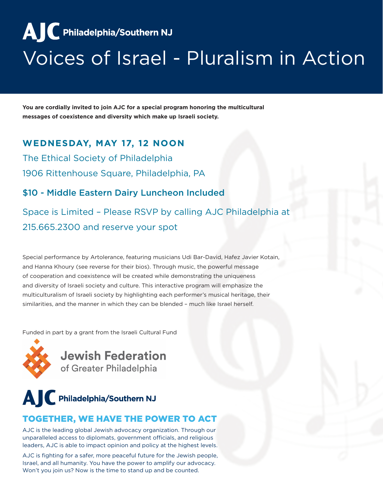**AIC** Philadelphia/Southern NJ

# Voices of Israel - Pluralism in Action

**You are cordially invited to join AJC for a special program honoring the multicultural messages of coexistence and diversity which make up Israeli society.** 

#### **WEDNESDAY, MAY 17, 12 NOON**

The Ethical Society of Philadelphia 1906 Rittenhouse Square, Philadelphia, PA

### \$10 - Middle Eastern Dairy Luncheon Included

Space is Limited – Please RSVP by calling AJC Philadelphia at 215.665.2300 and reserve your spot

Special performance by Artolerance, featuring musicians Udi Bar-David, Hafez Javier Kotain, and Hanna Khoury (see reverse for their bios). Through music, the powerful message of cooperation and coexistence will be created while demonstrating the uniqueness and diversity of Israeli society and culture. This interactive program will emphasize the multiculturalism of Israeli society by highlighting each performer's musical heritage, their similarities, and the manner in which they can be blended – much like Israel herself.

Funded in part by a grant from the Israeli Cultural Fund



**Jewish Federation** of Greater Philadelphia



### TOGETHER, WE HAVE THE POWER TO ACT

AJC is the leading global Jewish advocacy organization. Through our unparalleled access to diplomats, government officials, and religious leaders, AJC is able to impact opinion and policy at the highest levels.

AJC is fighting for a safer, more peaceful future for the Jewish people, Israel, and all humanity. You have the power to amplify our advocacy. Won't you join us? Now is the time to stand up and be counted.